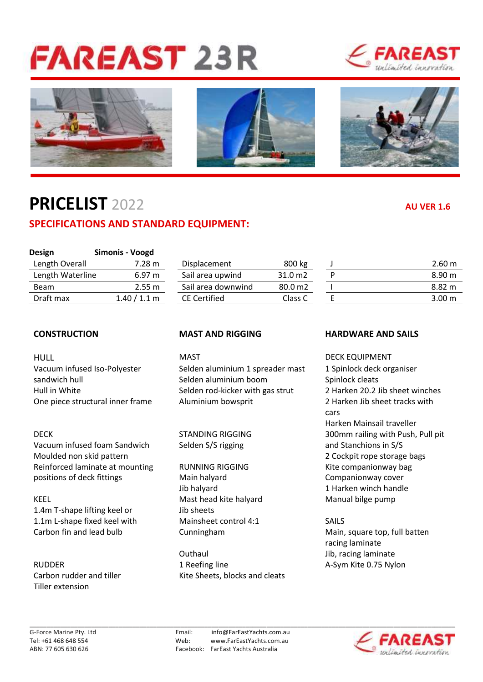# **FAREAST 23R**









## **PRICELIST** 2022 **AU VER 1.6**

### **SPECIFICATIONS AND STANDARD EQUIPMENT:**

| <b>Design</b>    | Simonis - Voogd |                     |                    |                  |
|------------------|-----------------|---------------------|--------------------|------------------|
| Length Overall   | 7.28 m          | Displacement        | 800 kg             | $2.60 \text{ m}$ |
| Length Waterline | 6.97 m          | Sail area upwind    | 31.0 m2            | $8.90 \text{ m}$ |
| <b>Beam</b>      | 2.55 m          | Sail area downwind  | 80.0 <sub>m2</sub> | 8.82 m           |
| Draft max        | 1.40 / 1.1 m    | <b>CE Certified</b> | Class C            | 3.00 m           |

HULL **MAST** MAST DECK EQUIPMENT

Vacuum infused foam Sandwich Selden S/S rigging and Stanchions in S/S Moulded non skid pattern **2** Cockpit rope storage bags Reinforced laminate at mounting RUNNING RIGGING **RELACT RESEAUTS** Kite companionway bag positions of deck fittings and Main halyard Companionway cover

KEEL **Mast head kite halyard** Manual bilge pump 1.4m T-shape lifting keel or Jib sheets 1.1m L-shape fixed keel with Mainsheet control 4:1 SAILS Carbon fin and lead bulb Cunningham Cunningham Main, square top, full batten

Tiller extension

| Displacement        | 800 kg             |
|---------------------|--------------------|
| Sail area upwind    | 31.0 <sub>m2</sub> |
| Sail area downwind  | 80.0 m2            |
| <b>CE Certified</b> | Class C            |
|                     |                    |

Vacuum infused Iso-Polyester Selden aluminium 1 spreader mast 1 Spinlock deck organiser sandwich hull Selden aluminium boom Spinlock cleats Hull in White Selden rod-kicker with gas strut 2 Harken 20.2 Jib sheet winches One piece structural inner frame Aluminium bowsprit 2 Harken Jib sheet tracks with

Jib halyard 1 Harken winch handle

Outhaul **Jib**, racing laminate RUDDER 1 Reefing line 1 A-Sym Kite 0.75 Nylon Carbon rudder and tiller Kite Sheets, blocks and cleats

### **CONSTRUCTION MAST AND RIGGING HARDWARE AND SAILS**

cars Harken Mainsail traveller DECK STANDING RIGGING 300mm railing with Push, Pull pit

racing laminate